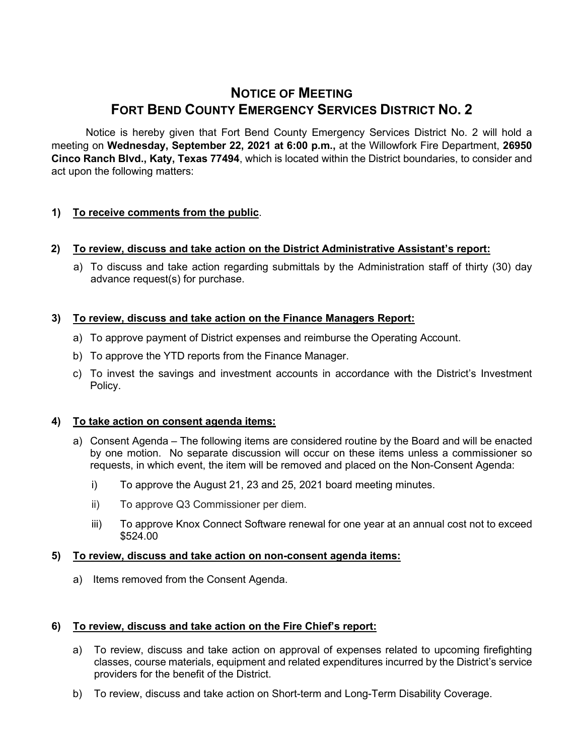# **NOTICE OF MEETING FORT BEND COUNTY EMERGENCY SERVICES DISTRICT NO. 2**

Notice is hereby given that Fort Bend County Emergency Services District No. 2 will hold a meeting on **Wednesday, September 22, 2021 at 6:00 p.m.,** at the Willowfork Fire Department, **26950 Cinco Ranch Blvd., Katy, Texas 77494**, which is located within the District boundaries, to consider and act upon the following matters:

# **1) To receive comments from the public**.

## **2) To review, discuss and take action on the District Administrative Assistant's report:**

a) To discuss and take action regarding submittals by the Administration staff of thirty (30) day advance request(s) for purchase.

# **3) To review, discuss and take action on the Finance Managers Report:**

- a) To approve payment of District expenses and reimburse the Operating Account.
- b) To approve the YTD reports from the Finance Manager.
- c) To invest the savings and investment accounts in accordance with the District's Investment Policy.

## **4) To take action on consent agenda items:**

- a) Consent Agenda The following items are considered routine by the Board and will be enacted by one motion. No separate discussion will occur on these items unless a commissioner so requests, in which event, the item will be removed and placed on the Non-Consent Agenda:
	- i) To approve the August 21, 23 and 25, 2021 board meeting minutes.
	- ii) To approve Q3 Commissioner per diem.
	- iii) To approve Knox Connect Software renewal for one year at an annual cost not to exceed \$524.00

## **5) To review, discuss and take action on non-consent agenda items:**

a) Items removed from the Consent Agenda.

## **6) To review, discuss and take action on the Fire Chief's report:**

- a) To review, discuss and take action on approval of expenses related to upcoming firefighting classes, course materials, equipment and related expenditures incurred by the District's service providers for the benefit of the District.
- b) To review, discuss and take action on Short-term and Long-Term Disability Coverage.